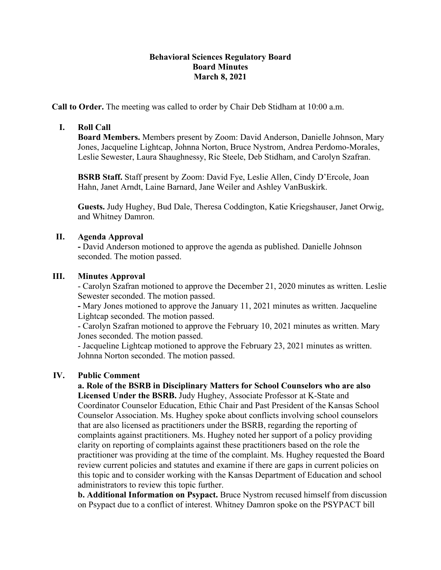### **Behavioral Sciences Regulatory Board Board Minutes March 8, 2021**

**Call to Order.** The meeting was called to order by Chair Deb Stidham at 10:00 a.m.

# **I. Roll Call**

**Board Members.** Members present by Zoom: David Anderson, Danielle Johnson, Mary Jones, Jacqueline Lightcap, Johnna Norton, Bruce Nystrom, Andrea Perdomo-Morales, Leslie Sewester, Laura Shaughnessy, Ric Steele, Deb Stidham, and Carolyn Szafran.

**BSRB Staff.** Staff present by Zoom: David Fye, Leslie Allen, Cindy D'Ercole, Joan Hahn, Janet Arndt, Laine Barnard, Jane Weiler and Ashley VanBuskirk.

**Guests.** Judy Hughey, Bud Dale, Theresa Coddington, Katie Kriegshauser, Janet Orwig, and Whitney Damron.

### **II. Agenda Approval**

**-** David Anderson motioned to approve the agenda as published. Danielle Johnson seconded. The motion passed.

#### **III. Minutes Approval**

- Carolyn Szafran motioned to approve the December 21, 2020 minutes as written. Leslie Sewester seconded. The motion passed.

**-** Mary Jones motioned to approve the January 11, 2021 minutes as written. Jacqueline Lightcap seconded. The motion passed.

- Carolyn Szafran motioned to approve the February 10, 2021 minutes as written. Mary Jones seconded. The motion passed.

- Jacqueline Lightcap motioned to approve the February 23, 2021 minutes as written. Johnna Norton seconded. The motion passed.

#### **IV. Public Comment**

**a. Role of the BSRB in Disciplinary Matters for School Counselors who are also Licensed Under the BSRB.** Judy Hughey, Associate Professor at K-State and Coordinator Counselor Education, Ethic Chair and Past President of the Kansas School Counselor Association. Ms. Hughey spoke about conflicts involving school counselors that are also licensed as practitioners under the BSRB, regarding the reporting of complaints against practitioners. Ms. Hughey noted her support of a policy providing clarity on reporting of complaints against these practitioners based on the role the practitioner was providing at the time of the complaint. Ms. Hughey requested the Board review current policies and statutes and examine if there are gaps in current policies on this topic and to consider working with the Kansas Department of Education and school administrators to review this topic further.

**b. Additional Information on Psypact.** Bruce Nystrom recused himself from discussion on Psypact due to a conflict of interest. Whitney Damron spoke on the PSYPACT bill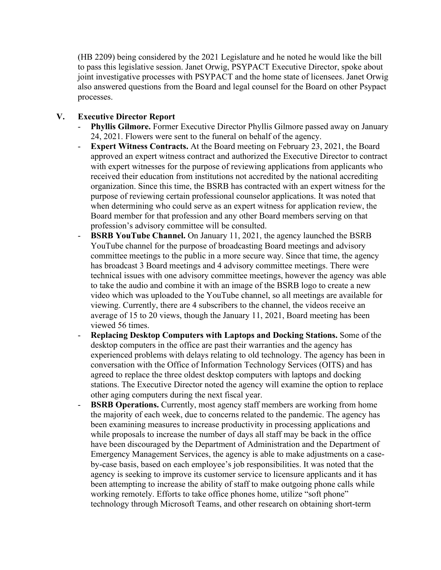(HB 2209) being considered by the 2021 Legislature and he noted he would like the bill to pass this legislative session. Janet Orwig, PSYPACT Executive Director, spoke about joint investigative processes with PSYPACT and the home state of licensees. Janet Orwig also answered questions from the Board and legal counsel for the Board on other Psypact processes.

# **V. Executive Director Report**

- **Phyllis Gilmore.** Former Executive Director Phyllis Gilmore passed away on January 24, 2021. Flowers were sent to the funeral on behalf of the agency.
- **Expert Witness Contracts.** At the Board meeting on February 23, 2021, the Board approved an expert witness contract and authorized the Executive Director to contract with expert witnesses for the purpose of reviewing applications from applicants who received their education from institutions not accredited by the national accrediting organization. Since this time, the BSRB has contracted with an expert witness for the purpose of reviewing certain professional counselor applications. It was noted that when determining who could serve as an expert witness for application review, the Board member for that profession and any other Board members serving on that profession's advisory committee will be consulted.
- **BSRB YouTube Channel.** On January 11, 2021, the agency launched the BSRB YouTube channel for the purpose of broadcasting Board meetings and advisory committee meetings to the public in a more secure way. Since that time, the agency has broadcast 3 Board meetings and 4 advisory committee meetings. There were technical issues with one advisory committee meetings, however the agency was able to take the audio and combine it with an image of the BSRB logo to create a new video which was uploaded to the YouTube channel, so all meetings are available for viewing. Currently, there are 4 subscribers to the channel, the videos receive an average of 15 to 20 views, though the January 11, 2021, Board meeting has been viewed 56 times.
- **Replacing Desktop Computers with Laptops and Docking Stations.** Some of the desktop computers in the office are past their warranties and the agency has experienced problems with delays relating to old technology. The agency has been in conversation with the Office of Information Technology Services (OITS) and has agreed to replace the three oldest desktop computers with laptops and docking stations. The Executive Director noted the agency will examine the option to replace other aging computers during the next fiscal year.
- **BSRB Operations.** Currently, most agency staff members are working from home the majority of each week, due to concerns related to the pandemic. The agency has been examining measures to increase productivity in processing applications and while proposals to increase the number of days all staff may be back in the office have been discouraged by the Department of Administration and the Department of Emergency Management Services, the agency is able to make adjustments on a caseby-case basis, based on each employee's job responsibilities. It was noted that the agency is seeking to improve its customer service to licensure applicants and it has been attempting to increase the ability of staff to make outgoing phone calls while working remotely. Efforts to take office phones home, utilize "soft phone" technology through Microsoft Teams, and other research on obtaining short-term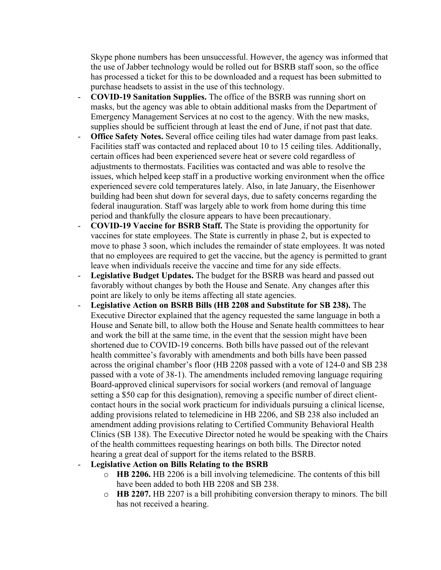Skype phone numbers has been unsuccessful. However, the agency was informed that the use of Jabber technology would be rolled out for BSRB staff soon, so the office has processed a ticket for this to be downloaded and a request has been submitted to purchase headsets to assist in the use of this technology.

- **COVID-19 Sanitation Supplies.** The office of the BSRB was running short on masks, but the agency was able to obtain additional masks from the Department of Emergency Management Services at no cost to the agency. With the new masks, supplies should be sufficient through at least the end of June, if not past that date.
- **Office Safety Notes.** Several office ceiling tiles had water damage from past leaks. Facilities staff was contacted and replaced about 10 to 15 ceiling tiles. Additionally, certain offices had been experienced severe heat or severe cold regardless of adjustments to thermostats. Facilities was contacted and was able to resolve the issues, which helped keep staff in a productive working environment when the office experienced severe cold temperatures lately. Also, in late January, the Eisenhower building had been shut down for several days, due to safety concerns regarding the federal inauguration. Staff was largely able to work from home during this time period and thankfully the closure appears to have been precautionary.
- **COVID-19 Vaccine for BSRB Staff.** The State is providing the opportunity for vaccines for state employees. The State is currently in phase 2, but is expected to move to phase 3 soon, which includes the remainder of state employees. It was noted that no employees are required to get the vaccine, but the agency is permitted to grant leave when individuals receive the vaccine and time for any side effects.
- **Legislative Budget Updates.** The budget for the BSRB was heard and passed out favorably without changes by both the House and Senate. Any changes after this point are likely to only be items affecting all state agencies.
- **Legislative Action on BSRB Bills (HB 2208 and Substitute for SB 238).** The Executive Director explained that the agency requested the same language in both a House and Senate bill, to allow both the House and Senate health committees to hear and work the bill at the same time, in the event that the session might have been shortened due to COVID-19 concerns. Both bills have passed out of the relevant health committee's favorably with amendments and both bills have been passed across the original chamber's floor (HB 2208 passed with a vote of 124-0 and SB 238 passed with a vote of 38-1). The amendments included removing language requiring Board-approved clinical supervisors for social workers (and removal of language setting a \$50 cap for this designation), removing a specific number of direct clientcontact hours in the social work practicum for individuals pursuing a clinical license, adding provisions related to telemedicine in HB 2206, and SB 238 also included an amendment adding provisions relating to Certified Community Behavioral Health Clinics (SB 138). The Executive Director noted he would be speaking with the Chairs of the health committees requesting hearings on both bills. The Director noted hearing a great deal of support for the items related to the BSRB.

#### - **Legislative Action on Bills Relating to the BSRB**

- o **HB 2206.** HB 2206 is a bill involving telemedicine. The contents of this bill have been added to both HB 2208 and SB 238.
- o **HB 2207.** HB 2207 is a bill prohibiting conversion therapy to minors. The bill has not received a hearing.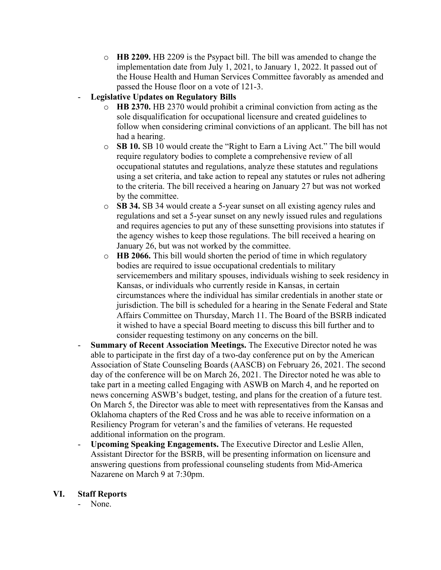o **HB 2209.** HB 2209 is the Psypact bill. The bill was amended to change the implementation date from July 1, 2021, to January 1, 2022. It passed out of the House Health and Human Services Committee favorably as amended and passed the House floor on a vote of 121-3.

# - **Legislative Updates on Regulatory Bills**

- o **HB 2370.** HB 2370 would prohibit a criminal conviction from acting as the sole disqualification for occupational licensure and created guidelines to follow when considering criminal convictions of an applicant. The bill has not had a hearing.
- o **SB 10.** SB 10 would create the "Right to Earn a Living Act." The bill would require regulatory bodies to complete a comprehensive review of all occupational statutes and regulations, analyze these statutes and regulations using a set criteria, and take action to repeal any statutes or rules not adhering to the criteria. The bill received a hearing on January 27 but was not worked by the committee.
- o **SB 34.** SB 34 would create a 5-year sunset on all existing agency rules and regulations and set a 5-year sunset on any newly issued rules and regulations and requires agencies to put any of these sunsetting provisions into statutes if the agency wishes to keep those regulations. The bill received a hearing on January 26, but was not worked by the committee.
- o **HB 2066.** This bill would shorten the period of time in which regulatory bodies are required to issue occupational credentials to military servicemembers and military spouses, individuals wishing to seek residency in Kansas, or individuals who currently reside in Kansas, in certain circumstances where the individual has similar credentials in another state or jurisdiction. The bill is scheduled for a hearing in the Senate Federal and State Affairs Committee on Thursday, March 11. The Board of the BSRB indicated it wished to have a special Board meeting to discuss this bill further and to consider requesting testimony on any concerns on the bill.
- **Summary of Recent Association Meetings.** The Executive Director noted he was able to participate in the first day of a two-day conference put on by the American Association of State Counseling Boards (AASCB) on February 26, 2021. The second day of the conference will be on March 26, 2021. The Director noted he was able to take part in a meeting called Engaging with ASWB on March 4, and he reported on news concerning ASWB's budget, testing, and plans for the creation of a future test. On March 5, the Director was able to meet with representatives from the Kansas and Oklahoma chapters of the Red Cross and he was able to receive information on a Resiliency Program for veteran's and the families of veterans. He requested additional information on the program.
- **Upcoming Speaking Engagements.** The Executive Director and Leslie Allen, Assistant Director for the BSRB, will be presenting information on licensure and answering questions from professional counseling students from Mid-America Nazarene on March 9 at 7:30pm.

#### **VI. Staff Reports**

None.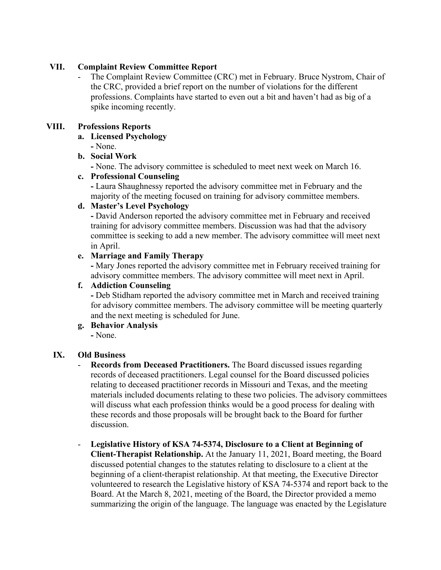# **VII. Complaint Review Committee Report**

The Complaint Review Committee (CRC) met in February. Bruce Nystrom, Chair of the CRC, provided a brief report on the number of violations for the different professions. Complaints have started to even out a bit and haven't had as big of a spike incoming recently.

### **VIII. Professions Reports**

- **a. Licensed Psychology** 
	- **-** None.

### **b. Social Work**

**-** None. The advisory committee is scheduled to meet next week on March 16.

# **c. Professional Counseling**

**-** Laura Shaughnessy reported the advisory committee met in February and the majority of the meeting focused on training for advisory committee members.

### **d. Master's Level Psychology**

**-** David Anderson reported the advisory committee met in February and received training for advisory committee members. Discussion was had that the advisory committee is seeking to add a new member. The advisory committee will meet next in April.

### **e. Marriage and Family Therapy**

**-** Mary Jones reported the advisory committee met in February received training for advisory committee members. The advisory committee will meet next in April.

# **f. Addiction Counseling**

**-** Deb Stidham reported the advisory committee met in March and received training for advisory committee members. The advisory committee will be meeting quarterly and the next meeting is scheduled for June.

#### **g. Behavior Analysis**

**-** None.

# **IX. Old Business**

- **Records from Deceased Practitioners.** The Board discussed issues regarding records of deceased practitioners. Legal counsel for the Board discussed policies relating to deceased practitioner records in Missouri and Texas, and the meeting materials included documents relating to these two policies. The advisory committees will discuss what each profession thinks would be a good process for dealing with these records and those proposals will be brought back to the Board for further discussion.
- **Legislative History of KSA 74-5374, Disclosure to a Client at Beginning of Client-Therapist Relationship.** At the January 11, 2021, Board meeting, the Board discussed potential changes to the statutes relating to disclosure to a client at the beginning of a client-therapist relationship. At that meeting, the Executive Director volunteered to research the Legislative history of KSA 74-5374 and report back to the Board. At the March 8, 2021, meeting of the Board, the Director provided a memo summarizing the origin of the language. The language was enacted by the Legislature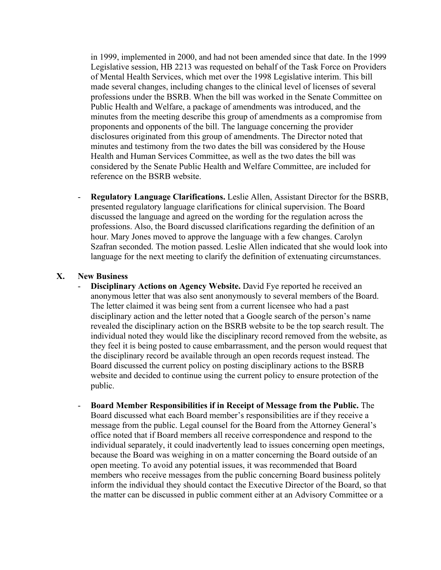in 1999, implemented in 2000, and had not been amended since that date. In the 1999 Legislative session, HB 2213 was requested on behalf of the Task Force on Providers of Mental Health Services, which met over the 1998 Legislative interim. This bill made several changes, including changes to the clinical level of licenses of several professions under the BSRB. When the bill was worked in the Senate Committee on Public Health and Welfare, a package of amendments was introduced, and the minutes from the meeting describe this group of amendments as a compromise from proponents and opponents of the bill. The language concerning the provider disclosures originated from this group of amendments. The Director noted that minutes and testimony from the two dates the bill was considered by the House Health and Human Services Committee, as well as the two dates the bill was considered by the Senate Public Health and Welfare Committee, are included for reference on the BSRB website.

- **Regulatory Language Clarifications.** Leslie Allen, Assistant Director for the BSRB, presented regulatory language clarifications for clinical supervision. The Board discussed the language and agreed on the wording for the regulation across the professions. Also, the Board discussed clarifications regarding the definition of an hour. Mary Jones moved to approve the language with a few changes. Carolyn Szafran seconded. The motion passed. Leslie Allen indicated that she would look into language for the next meeting to clarify the definition of extenuating circumstances.

#### **X. New Business**

- **Disciplinary Actions on Agency Website.** David Fye reported he received an anonymous letter that was also sent anonymously to several members of the Board. The letter claimed it was being sent from a current licensee who had a past disciplinary action and the letter noted that a Google search of the person's name revealed the disciplinary action on the BSRB website to be the top search result. The individual noted they would like the disciplinary record removed from the website, as they feel it is being posted to cause embarrassment, and the person would request that the disciplinary record be available through an open records request instead. The Board discussed the current policy on posting disciplinary actions to the BSRB website and decided to continue using the current policy to ensure protection of the public.
- **Board Member Responsibilities if in Receipt of Message from the Public.** The Board discussed what each Board member's responsibilities are if they receive a message from the public. Legal counsel for the Board from the Attorney General's office noted that if Board members all receive correspondence and respond to the individual separately, it could inadvertently lead to issues concerning open meetings, because the Board was weighing in on a matter concerning the Board outside of an open meeting. To avoid any potential issues, it was recommended that Board members who receive messages from the public concerning Board business politely inform the individual they should contact the Executive Director of the Board, so that the matter can be discussed in public comment either at an Advisory Committee or a